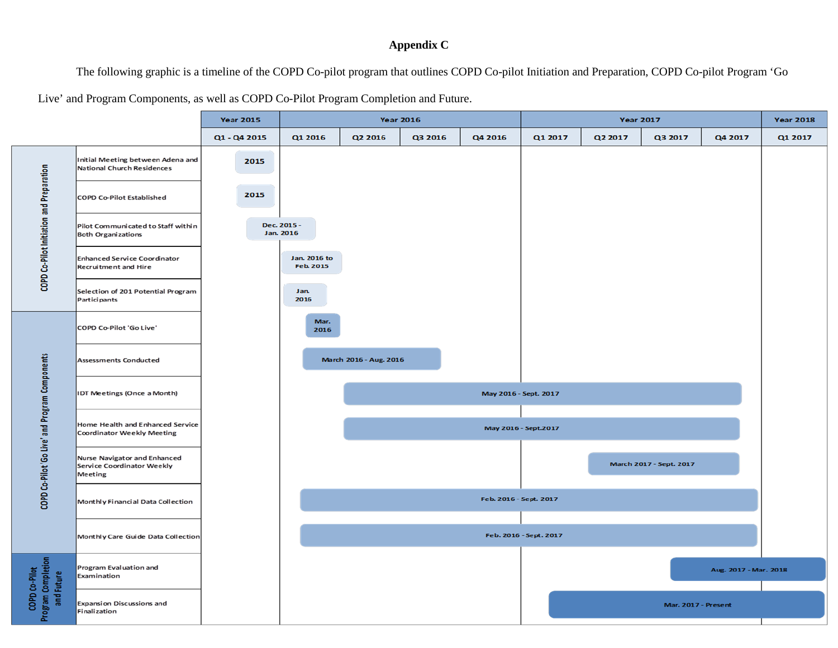## **Appendix C**

The following graphic is a timeline of the COPD Co-pilot program that outlines COPD Co-pilot Initiation and Preparation, COPD Co-pilot Program 'Go

Live' and Program Components, as well as COPD Co-Pilot Program Completion and Future.

|                                                   |                                                                       | <b>Year 2015</b> | <b>Year 2016</b>          |                        |         |                        | <b>Year 2017</b>       |         |                            |                       | <b>Year 2018</b> |
|---------------------------------------------------|-----------------------------------------------------------------------|------------------|---------------------------|------------------------|---------|------------------------|------------------------|---------|----------------------------|-----------------------|------------------|
|                                                   |                                                                       | Q1 - Q4 2015     | Q1 2016                   | Q2 2016                | Q3 2016 | Q4 2016                | Q1 2017                | Q2 2017 | Q3 2017                    | Q4 2017               | Q1 2017          |
| COPD Co-Pilot Initiation and Preparation          | Initial Meeting between Adena and<br>National Church Residences       | 2015             |                           |                        |         |                        |                        |         |                            |                       |                  |
|                                                   | COPD Co-Pilot Established                                             | 2015             |                           |                        |         |                        |                        |         |                            |                       |                  |
|                                                   | Pilot Communicated to Staff within<br><b>Both Organizations</b>       |                  | Dec. 2015 -<br>Jan. 2016  |                        |         |                        |                        |         |                            |                       |                  |
|                                                   | Enhanced Service Coordinator<br>Recruitment and Hire                  |                  | Jan. 2016 to<br>Feb. 2015 |                        |         |                        |                        |         |                            |                       |                  |
|                                                   | Selection of 201 Potential Program<br>Participants                    |                  | Jan.<br>2016              |                        |         |                        |                        |         |                            |                       |                  |
| COPD Co-Pilot'Go Live' and Program Components     | COPD Co-Pilot 'Go Live'                                               |                  | Mar.<br>2016              |                        |         |                        |                        |         |                            |                       |                  |
|                                                   | Assessments Conducted                                                 |                  |                           | March 2016 - Aug. 2016 |         |                        |                        |         |                            |                       |                  |
|                                                   | IDT Meetings (Once a Month)                                           |                  |                           |                        |         | May 2016 - Sept. 2017  |                        |         |                            |                       |                  |
|                                                   | Home Health and Enhanced Service<br>Coordinator Weekly Meeting        |                  |                           |                        |         |                        | May 2016 - Sept.2017   |         |                            |                       |                  |
|                                                   | Nurse Navigator and Enhanced<br>Service Coordinator Weekly<br>Meeting |                  |                           |                        |         |                        |                        |         | March 2017 - Sept. 2017    |                       |                  |
|                                                   | Monthly Financial Data Collection                                     |                  |                           |                        |         | Feb. 2016 - Sept. 2017 |                        |         |                            |                       |                  |
|                                                   | Monthly Care Guide Data Collection                                    |                  |                           |                        |         |                        | Feb. 2016 - Sept. 2017 |         |                            |                       |                  |
| COPD Co-Pilot<br>Program Completion<br>and Future | Program Evaluation and<br>Examination                                 |                  |                           |                        |         |                        |                        |         |                            | Aug. 2017 - Mar. 2018 |                  |
|                                                   | Expansion Discussions and<br>Finalization                             |                  |                           |                        |         |                        |                        |         | <b>Mar. 2017 - Present</b> |                       |                  |